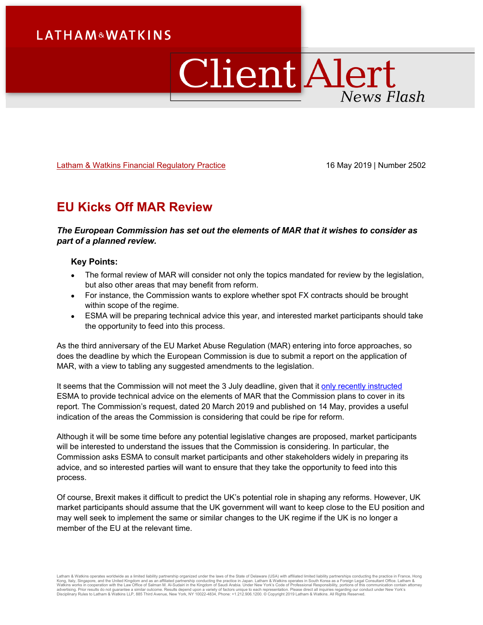# **LATHAM&WATKINS**

# ClientAlert News Flash

[Latham & Watkins Financial Regulatory Practice](https://www.lw.com/practices/FinancialRegulatory) 16 May 2019 | Number 2502

## **EU Kicks Off MAR Review**

## *The European Commission has set out the elements of MAR that it wishes to consider as part of a planned review.*

## **Key Points:**

- The formal review of MAR will consider not only the topics mandated for review by the legislation, but also other areas that may benefit from reform.
- For instance, the Commission wants to explore whether spot FX contracts should be brought within scope of the regime.
- ESMA will be preparing technical advice this year, and interested market participants should take the opportunity to feed into this process.

As the third anniversary of the EU Market Abuse Regulation (MAR) entering into force approaches, so does the deadline by which the European Commission is due to submit a report on the application of MAR, with a view to tabling any suggested amendments to the legislation.

It seems that the Commission will not meet the 3 July deadline, given that it [only recently instructed](https://www.esma.europa.eu/sites/default/files/library/esma_art_38_mar_mandate.pdf) ESMA to provide technical advice on the elements of MAR that the Commission plans to cover in its report. The Commission's request, dated 20 March 2019 and published on 14 May, provides a useful indication of the areas the Commission is considering that could be ripe for reform.

Although it will be some time before any potential legislative changes are proposed, market participants will be interested to understand the issues that the Commission is considering. In particular, the Commission asks ESMA to consult market participants and other stakeholders widely in preparing its advice, and so interested parties will want to ensure that they take the opportunity to feed into this process.

Of course, Brexit makes it difficult to predict the UK's potential role in shaping any reforms. However, UK market participants should assume that the UK government will want to keep close to the EU position and may well seek to implement the same or similar changes to the UK regime if the UK is no longer a member of the EU at the relevant time.

Latham & Watkins operates worldwide as a limited liability partnership organized under the laws of the State of Delaware (USA) with affiliated partnership or France, Hong kong, taligned limited its incomparably partnership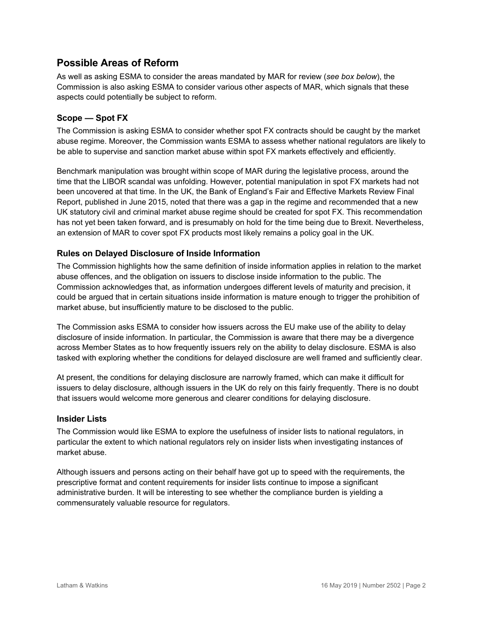## **Possible Areas of Reform**

As well as asking ESMA to consider the areas mandated by MAR for review (*see box below*), the Commission is also asking ESMA to consider various other aspects of MAR, which signals that these aspects could potentially be subject to reform.

## **Scope — Spot FX**

The Commission is asking ESMA to consider whether spot FX contracts should be caught by the market abuse regime. Moreover, the Commission wants ESMA to assess whether national regulators are likely to be able to supervise and sanction market abuse within spot FX markets effectively and efficiently.

Benchmark manipulation was brought within scope of MAR during the legislative process, around the time that the LIBOR scandal was unfolding. However, potential manipulation in spot FX markets had not been uncovered at that time. In the UK, the Bank of England's Fair and Effective Markets Review Final Report, published in June 2015, noted that there was a gap in the regime and recommended that a new UK statutory civil and criminal market abuse regime should be created for spot FX. This recommendation has not yet been taken forward, and is presumably on hold for the time being due to Brexit. Nevertheless, an extension of MAR to cover spot FX products most likely remains a policy goal in the UK.

## **Rules on Delayed Disclosure of Inside Information**

The Commission highlights how the same definition of inside information applies in relation to the market abuse offences, and the obligation on issuers to disclose inside information to the public. The Commission acknowledges that, as information undergoes different levels of maturity and precision, it could be argued that in certain situations inside information is mature enough to trigger the prohibition of market abuse, but insufficiently mature to be disclosed to the public.

The Commission asks ESMA to consider how issuers across the EU make use of the ability to delay disclosure of inside information. In particular, the Commission is aware that there may be a divergence across Member States as to how frequently issuers rely on the ability to delay disclosure. ESMA is also tasked with exploring whether the conditions for delayed disclosure are well framed and sufficiently clear.

At present, the conditions for delaying disclosure are narrowly framed, which can make it difficult for issuers to delay disclosure, although issuers in the UK do rely on this fairly frequently. There is no doubt that issuers would welcome more generous and clearer conditions for delaying disclosure.

## **Insider Lists**

The Commission would like ESMA to explore the usefulness of insider lists to national regulators, in particular the extent to which national regulators rely on insider lists when investigating instances of market abuse.

Although issuers and persons acting on their behalf have got up to speed with the requirements, the prescriptive format and content requirements for insider lists continue to impose a significant administrative burden. It will be interesting to see whether the compliance burden is yielding a commensurately valuable resource for regulators.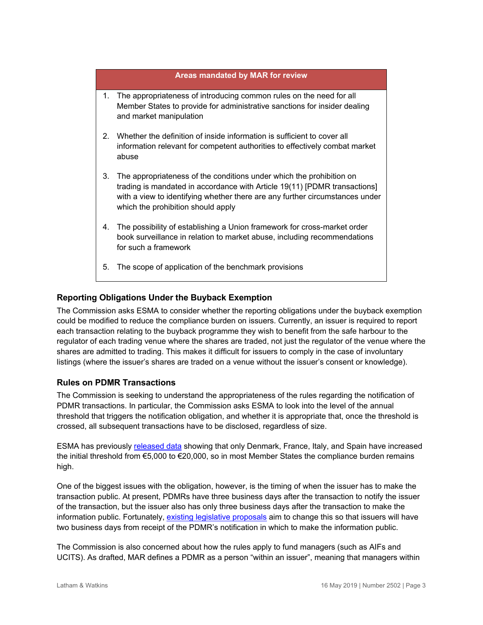## **Areas mandated by MAR for review**

- 1. The appropriateness of introducing common rules on the need for all Member States to provide for administrative sanctions for insider dealing and market manipulation
- 2. Whether the definition of inside information is sufficient to cover all information relevant for competent authorities to effectively combat market abuse
- 3. The appropriateness of the conditions under which the prohibition on trading is mandated in accordance with Article 19(11) [PDMR transactions] with a view to identifying whether there are any further circumstances under which the prohibition should apply
- 4. The possibility of establishing a Union framework for cross-market order book surveillance in relation to market abuse, including recommendations for such a framework
- 5. The scope of application of the benchmark provisions

## **Reporting Obligations Under the Buyback Exemption**

The Commission asks ESMA to consider whether the reporting obligations under the buyback exemption could be modified to reduce the compliance burden on issuers. Currently, an issuer is required to report each transaction relating to the buyback programme they wish to benefit from the safe harbour to the regulator of each trading venue where the shares are traded, not just the regulator of the venue where the shares are admitted to trading. This makes it difficult for issuers to comply in the case of involuntary listings (where the issuer's shares are traded on a venue without the issuer's consent or knowledge).

## **Rules on PDMR Transactions**

The Commission is seeking to understand the appropriateness of the rules regarding the notification of PDMR transactions. In particular, the Commission asks ESMA to look into the level of the annual threshold that triggers the notification obligation, and whether it is appropriate that, once the threshold is crossed, all subsequent transactions have to be disclosed, regardless of size.

ESMA has previously [released data](https://www.esma.europa.eu/sites/default/files/library/esma70-145-1020_-_list_of_thresholds_increased_pursuant_to_mar_article_199.pdf) showing that only Denmark, France, Italy, and Spain have increased the initial threshold from €5,000 to €20,000, so in most Member States the compliance burden remains high.

One of the biggest issues with the obligation, however, is the timing of when the issuer has to make the transaction public. At present, PDMRs have three business days after the transaction to notify the issuer of the transaction, but the issuer also has only three business days after the transaction to make the information public. Fortunately, [existing legislative proposals](http://www.europarl.europa.eu/doceo/document/TA-8-2019-0439_EN.pdf?redirect) aim to change this so that issuers will have two business days from receipt of the PDMR's notification in which to make the information public.

The Commission is also concerned about how the rules apply to fund managers (such as AIFs and UCITS). As drafted, MAR defines a PDMR as a person "within an issuer", meaning that managers within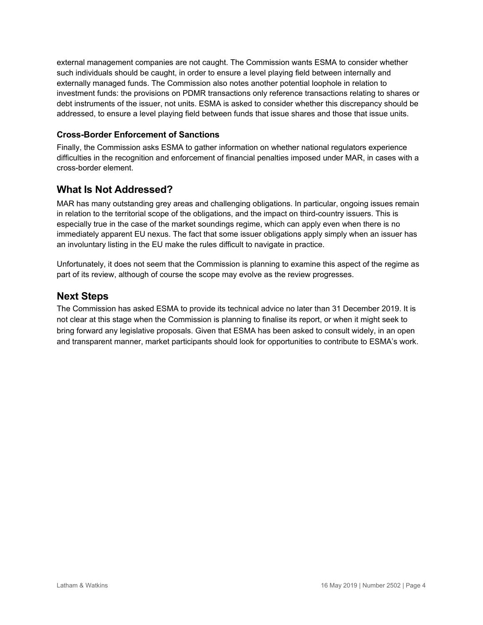external management companies are not caught. The Commission wants ESMA to consider whether such individuals should be caught, in order to ensure a level playing field between internally and externally managed funds. The Commission also notes another potential loophole in relation to investment funds: the provisions on PDMR transactions only reference transactions relating to shares or debt instruments of the issuer, not units. ESMA is asked to consider whether this discrepancy should be addressed, to ensure a level playing field between funds that issue shares and those that issue units.

## **Cross-Border Enforcement of Sanctions**

Finally, the Commission asks ESMA to gather information on whether national regulators experience difficulties in the recognition and enforcement of financial penalties imposed under MAR, in cases with a cross-border element.

## **What Is Not Addressed?**

MAR has many outstanding grey areas and challenging obligations. In particular, ongoing issues remain in relation to the territorial scope of the obligations, and the impact on third-country issuers. This is especially true in the case of the market soundings regime, which can apply even when there is no immediately apparent EU nexus. The fact that some issuer obligations apply simply when an issuer has an involuntary listing in the EU make the rules difficult to navigate in practice.

Unfortunately, it does not seem that the Commission is planning to examine this aspect of the regime as part of its review, although of course the scope may evolve as the review progresses.

## **Next Steps**

The Commission has asked ESMA to provide its technical advice no later than 31 December 2019. It is not clear at this stage when the Commission is planning to finalise its report, or when it might seek to bring forward any legislative proposals. Given that ESMA has been asked to consult widely, in an open and transparent manner, market participants should look for opportunities to contribute to ESMA's work.